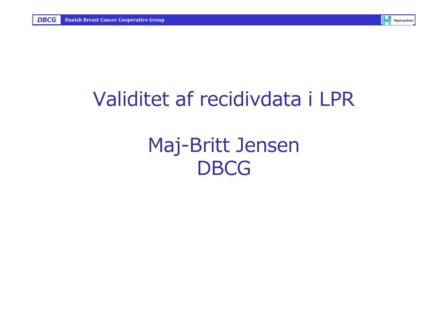

# Validitet af recidivdata i LPR

# Maj-Britt Jensen**DBCG**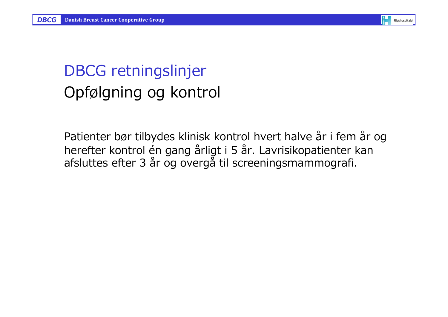

#### DBCG retningslinjer Opfølgning og kontrol

Patienter bør tilbydes klinisk kontrol hvert halve år i fem år og herefter kontrol én gang årligt i 5 år. Lavrisikopatienter kan afsluttes efter 3 år og overgå til screeningsmammografi.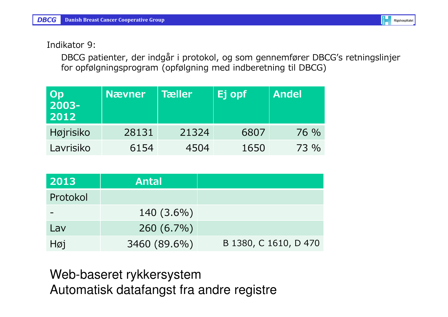Indikator 9:

DBCG patienter, der indgår i protokol, og som gennemfører DBCG's retningslinjer for opfølgningsprogram (opfølgning med indberetning til DBCG)

| Op<br>  2003-<br>2012 | <b>N</b> ævner | Tæller | Ej opf | <b>Andel</b> |
|-----------------------|----------------|--------|--------|--------------|
| Højrisiko             | 28131          | 21324  | 6807   | 76 %         |
| Lavrisiko             | 6154           | 4504   | 1650   | 73 %         |

| 2013     | <b>Antal</b> |                       |
|----------|--------------|-----------------------|
| Protokol |              |                       |
|          | 140 (3.6%)   |                       |
| Lav      | 260 (6.7%)   |                       |
| Høj      | 3460 (89.6%) | B 1380, C 1610, D 470 |

Web-baseret rykkersystemAutomatisk datafangst fra andre registre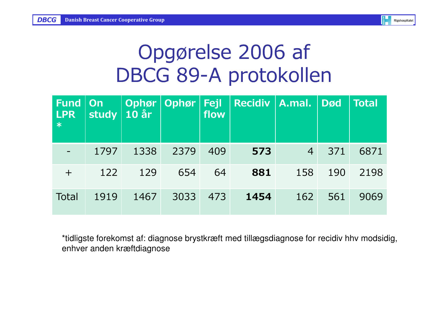| <b>Rigshospitalet</b> |
|-----------------------|
|                       |

# Opgørelse 2006 af DBCG 89-A protokollen

| <b>Fund</b><br><b>LPR</b><br>$\ast$ | <b>On</b><br><b>study</b> | Ophør<br>$10$ år | <b>Ophør</b> | Fejl<br>flow | <b>Recidiv</b> | $\ $ A.mal.    | <b>Død</b> | <b>Total</b> |
|-------------------------------------|---------------------------|------------------|--------------|--------------|----------------|----------------|------------|--------------|
|                                     | 1797                      | 1338             | 2379         | 409          | 573            | $\overline{4}$ | 371        | 6871         |
| $\pm$                               | 122                       | 129              | 654          | 64           | 881            | 158            | 190        | 2198         |
| <b>Total</b>                        | 1919                      | 1467             | 3033         | 473          | 1454           | 162            | 561        | 9069         |

\*tidligste forekomst af: diagnose brystkræft med tillægsdiagnose for recidiv hhv modsidig, enhver anden kræftdiagnose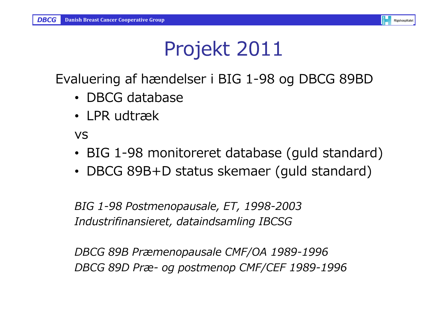

# Projekt 2011

Evaluering af hændelser i BIG 1-98 og DBCG 89BD

- DBCG database
- LPR udtræk

vs

- BIG 1-98 monitoreret database (guld standard)
- DBCG 89B+D status skemaer (guld standard)

BIG 1-98 Postmenopausale, ET, 1998-2003Industrifinansieret, dataindsamling IBCSG

DBCG 89B Præmenopausale CMF/OA 1989-1996DBCG 89D Præ- og postmenop CMF/CEF 1989-1996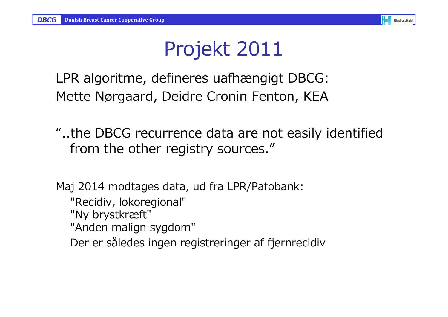

# Projekt 2011

LPR algoritme, defineres uafhængigt DBCG:Mette Nørgaard, Deidre Cronin Fenton, KEA

"..the DBCG recurrence data are not easily identified from the other registry sources."

Maj 2014 modtages data, ud fra LPR/Patobank: "Recidiv, lokoregional" "Ny brystkræft" "Anden malign sygdom" Der er således ingen registreringer af fjernrecidiv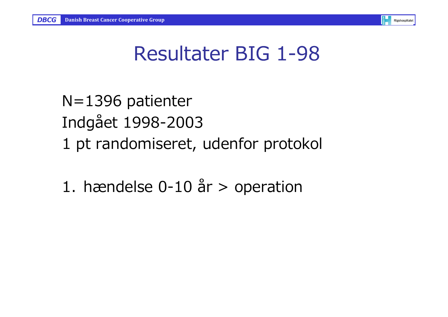

# Resultater BIG 1-98

N=1396 patienterIndgået 1998-20031 pt randomiseret, udenfor protokol

1. hændelse  $0-10$  år  $>$  operation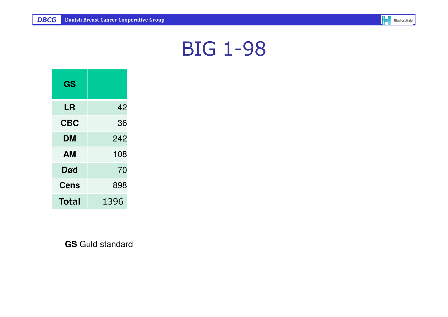

| GS          |      |
|-------------|------|
| LR          | 42   |
| <b>CBC</b>  | 36   |
| DM          | 242  |
| AМ          | 108  |
| <b>Død</b>  | 70   |
| <b>Cens</b> | 898  |
| Total       | 1396 |

**GS** Guld standard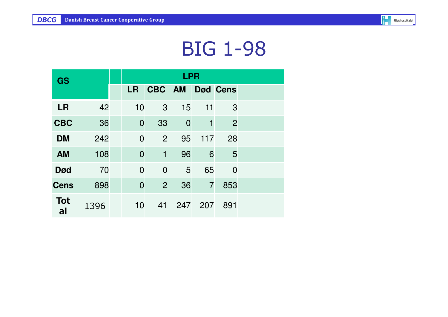

| <b>GS</b>        |      |                | <b>LPR</b>     |                |                |                 |  |  |  |  |  |  |
|------------------|------|----------------|----------------|----------------|----------------|-----------------|--|--|--|--|--|--|
|                  |      | <b>LR</b>      | CBC AM         |                |                | <b>Død Cens</b> |  |  |  |  |  |  |
| <b>LR</b>        | 42   | 10             | 3              | 15             | 11             | 3               |  |  |  |  |  |  |
| <b>CBC</b>       | 36   | $\overline{0}$ | 33             | $\overline{0}$ | $\mathbf 1$    | $\overline{2}$  |  |  |  |  |  |  |
| <b>DM</b>        | 242  | $\overline{0}$ | 2              | 95             | 117            | 28              |  |  |  |  |  |  |
| <b>AM</b>        | 108  | $\overline{0}$ | $\mathbf{1}$   | 96             | 6              | 5               |  |  |  |  |  |  |
| <b>Død</b>       | 70   | $\overline{0}$ | $\overline{0}$ | 5              | 65             | $\overline{0}$  |  |  |  |  |  |  |
| <b>Cens</b>      | 898  | $\overline{0}$ | $\overline{2}$ | 36             | $\overline{7}$ | 853             |  |  |  |  |  |  |
| <b>Tot</b><br>al | 1396 | 10             | 41             | 247            | 207            | 891             |  |  |  |  |  |  |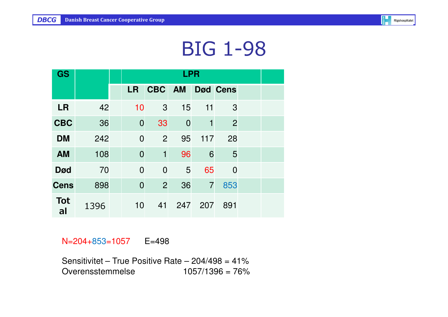

| <b>GS</b>        |      |                | <b>LPR</b>     |                |                |                |  |  |  |  |  |  |  |
|------------------|------|----------------|----------------|----------------|----------------|----------------|--|--|--|--|--|--|--|
|                  |      | <b>LR</b>      | CBC AM         |                |                | Død Cens       |  |  |  |  |  |  |  |
| <b>LR</b>        | 42   | 10             | 3              | 15             | 11             | 3              |  |  |  |  |  |  |  |
| <b>CBC</b>       | 36   | $\overline{0}$ | 33             | $\overline{0}$ | 1              | $\overline{2}$ |  |  |  |  |  |  |  |
| <b>DM</b>        | 242  | $\overline{0}$ | 2              | 95             | 117            | 28             |  |  |  |  |  |  |  |
| <b>AM</b>        | 108  | $\overline{0}$ | $\mathbf{1}$   | 96             | 6              | 5              |  |  |  |  |  |  |  |
| <b>Død</b>       | 70   | $\overline{0}$ | $\overline{0}$ | 5              | 65             | $\overline{0}$ |  |  |  |  |  |  |  |
| <b>Cens</b>      | 898  | $\mathbf 0$    | $\overline{2}$ | 36             | $\overline{7}$ | 853            |  |  |  |  |  |  |  |
| <b>Tot</b><br>al | 1396 | 10             | 41             | 247            | 207            | 891            |  |  |  |  |  |  |  |

#### N=204+853=1057 E=498

Sensitivitet – True Positive Rate – 204/498 = 41%Overensstemmelse 1057/1396 = 76%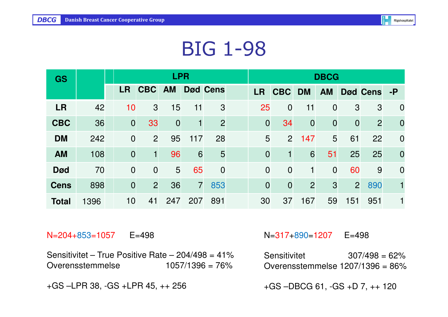| <b>GS</b>    |      |                |                | <b>LPR</b>     |                |                 | <b>DBCG</b>    |                |                |                |                |                 |                |  |
|--------------|------|----------------|----------------|----------------|----------------|-----------------|----------------|----------------|----------------|----------------|----------------|-----------------|----------------|--|
|              |      | <b>LR</b>      | <b>CBC</b>     | <b>AM</b>      |                | <b>Død Cens</b> | <b>LR</b>      | <b>CBC</b>     | <b>DM</b>      | <b>AM</b>      |                | <b>Død Cens</b> | $-P$           |  |
| <b>LR</b>    | 42   | 10             | 3              | 15             | 11             | 3               | 25             | $\overline{0}$ | 11             | $\overline{0}$ | 3              | 3               | $\overline{0}$ |  |
| <b>CBC</b>   | 36   | $\overline{0}$ | 33             | $\overline{0}$ | $\mathbf{1}$   | $\overline{2}$  | $\overline{0}$ | 34             | $\overline{0}$ | $\overline{0}$ | $\overline{0}$ | $\overline{2}$  | $\overline{0}$ |  |
| <b>DM</b>    | 242  | $\overline{0}$ | $\overline{2}$ | 95             | 117            | 28              | 5              | 2 <sup>1</sup> | 147            | 5              | 61             | 22              | $\overline{0}$ |  |
| <b>AM</b>    | 108  | $\overline{0}$ | 1              | 96             | 6              | 5               | $\overline{0}$ | 1              | 6              | 51             | 25             | 25              | $\overline{0}$ |  |
| <b>Død</b>   | 70   | $\overline{0}$ | $\overline{0}$ | 5              | 65             | $\overline{0}$  | $\overline{0}$ | $\overline{0}$ | 1              | $\overline{0}$ | 60             | 9               | $\overline{0}$ |  |
| <b>Cens</b>  | 898  | $\overline{0}$ | $\overline{2}$ | 36             | $\overline{7}$ | 853             | $\overline{0}$ | $\overline{0}$ | $\overline{2}$ | 3              | $\overline{2}$ | 890             |                |  |
| <b>Total</b> | 1396 | 10             | 41             | 247            | 207            | 891             | 30             | 37             | 167            | 59             | 151            | 951             |                |  |

N=204+853=1057 E=498

Sensitivitet – True Positive Rate – 204/498 = 41% $1057/1396 = 76%$ Overensstemmelse

+GS –LPR 38, -GS +LPR 45, ++ 256

#### N=317+890=1207 E=498

Sensitivitet 307/498 = 62%Overensstemmelse 1207/1396 = 86%

+GS –DBCG 61, -GS +D 7, ++ 120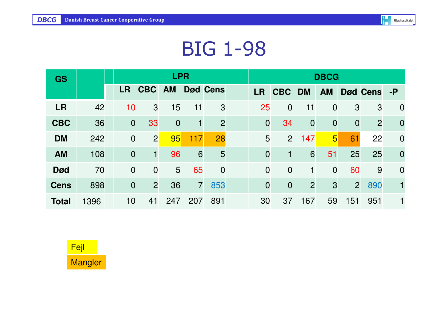| <b>GS</b>    |      |                |                | <b>LPR</b>     |                |                 | <b>DBCG</b>    |                |                |                |                |                 |                |  |
|--------------|------|----------------|----------------|----------------|----------------|-----------------|----------------|----------------|----------------|----------------|----------------|-----------------|----------------|--|
|              |      | <b>LR</b>      | <b>CBC</b>     | <b>AM</b>      |                | <b>Død Cens</b> | <b>LR</b>      | <b>CBC</b>     | <b>DM</b>      | <b>AM</b>      |                | <b>Død Cens</b> | $-P$           |  |
| <b>LR</b>    | 42   | 10             | 3              | 15             | 11             | 3               | 25             | $\overline{0}$ | 11             | $\overline{0}$ | 3              | 3               | $\overline{0}$ |  |
| <b>CBC</b>   | 36   | $\overline{0}$ | 33             | $\overline{0}$ | $\mathbf 1$    | $\overline{2}$  | $\overline{0}$ | 34             | $\overline{0}$ | $\overline{0}$ | $\mathbf 0$    | $\overline{2}$  | $\overline{0}$ |  |
| <b>DM</b>    | 242  | $\overline{0}$ | $\overline{2}$ | 95             | 117            | 28              | 5              | $\overline{2}$ | 147            | $\overline{5}$ | 61             | 22              | $\overline{0}$ |  |
| <b>AM</b>    | 108  | $\overline{0}$ | 1              | 96             | 6              | 5               | $\overline{0}$ | 1              | 6              | 51             | 25             | 25              | $\overline{0}$ |  |
| <b>Død</b>   | 70   | $\overline{0}$ | $\overline{0}$ | 5              | 65             | $\overline{0}$  | $\overline{0}$ | $\overline{0}$ | $\mathbf{1}$   | $\overline{0}$ | 60             | 9               | $\overline{0}$ |  |
| <b>Cens</b>  | 898  | $\overline{0}$ | $\overline{2}$ | 36             | $\overline{7}$ | 853             | $\overline{0}$ | $\overline{0}$ | $\overline{2}$ | $\mathbf{3}$   | $\overline{2}$ | 890             |                |  |
| <b>Total</b> | 1396 | 10             | 41             | 247            | 207            | 891             | 30             | 37             | 167            | 59             | 151            | 951             |                |  |

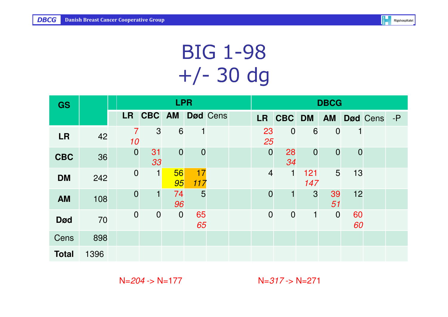

# BIG 1-98 +/- 30 dg

| <b>GS</b>    |      | <b>LPR</b> |                  |                |                |                |          | <b>DBCG</b>    |                |                |                |                |              |  |  |  |
|--------------|------|------------|------------------|----------------|----------------|----------------|----------|----------------|----------------|----------------|----------------|----------------|--------------|--|--|--|
|              |      |            | <b>LR</b>        | CBC AM         |                |                | Død Cens | <b>LR</b>      | CBC DM         |                | <b>AM</b>      |                | Død Cens - P |  |  |  |
| <b>LR</b>    | 42   |            | 7<br>10          | $\mathbf{3}$   | 6              |                |          | 23<br>25       | $\overline{0}$ | 6              | $\overline{0}$ | 1              |              |  |  |  |
| <b>CBC</b>   | 36   |            | $\overline{0}$   | 31<br>33       | $\overline{0}$ | $\overline{0}$ |          | $\overline{0}$ | 28<br>34       | $\overline{0}$ | $\mathbf 0$    | $\overline{0}$ |              |  |  |  |
| <b>DM</b>    | 242  |            | $\mathbf 0$      | $\mathbf{1}$   | 56<br>95       | 17<br>117      |          | $\overline{4}$ | $\mathbf{1}$   | 121<br>147     | 5              | 13             |              |  |  |  |
| <b>AM</b>    | 108  |            | $\overline{0}$   | $\mathbf{1}$   | 74<br>96       | 5              |          | $\overline{0}$ |                | 3              | 39<br>51       | 12             |              |  |  |  |
| <b>Død</b>   | 70   |            | $\boldsymbol{0}$ | $\overline{0}$ | $\overline{0}$ | 65<br>65       |          | $\overline{0}$ | $\overline{0}$ | 1              | $\overline{0}$ | 60<br>60       |              |  |  |  |
| Cens         | 898  |            |                  |                |                |                |          |                |                |                |                |                |              |  |  |  |
| <b>Total</b> | 1396 |            |                  |                |                |                |          |                |                |                |                |                |              |  |  |  |

 $N=204$  ->  $N=177$ 

 $N=317 - N=271$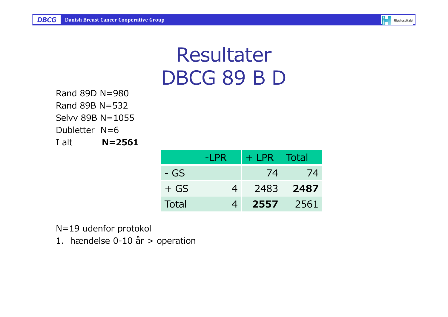# ResultaterDBCG 89 B D

Rand 89D N=980 Rand 89B N=532 Selvv 89B N=1055Dubletter N=6 $N = 2561$  $I$  alt  $\equiv$ 

|          | -LPR           | $+$ LPR | Total |
|----------|----------------|---------|-------|
| - GS     |                | 74      | 74    |
| $+$ GS   | $\overline{4}$ | 2483    | 2487  |
| Total    | $\overline{4}$ | 2557    | 2561  |
|          |                |         |       |
| peration |                |         |       |

N=19 udenfor protokol

1. hændelse 0-10 år > operation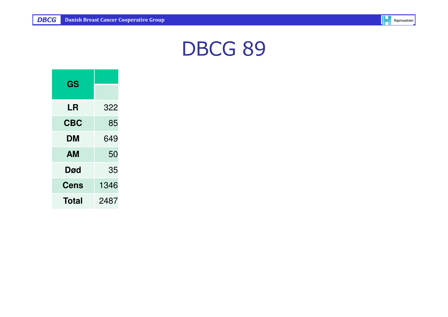

| GS          |      |
|-------------|------|
|             |      |
| LR          | 322  |
| <b>CBC</b>  | 85   |
| DM          | 649  |
| AМ          | 50   |
| Død         | 35   |
| <b>Cens</b> | 1346 |
| Total       | 2487 |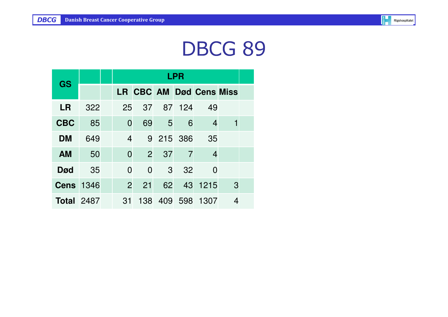

| GS                |     | <b>LPR</b>     |                |              |                |                                |   |  |  |  |
|-------------------|-----|----------------|----------------|--------------|----------------|--------------------------------|---|--|--|--|
|                   |     |                |                |              |                | <b>LR CBC AM Død Cens Miss</b> |   |  |  |  |
| <b>LR</b>         | 322 | 25             | 37             |              | 87 124         | 49                             |   |  |  |  |
| <b>CBC</b>        | 85  | $\overline{0}$ | 69             | $-5$         | 6              | 4                              |   |  |  |  |
| DM                | 649 | $\overline{4}$ |                |              | 9 215 386      | 35                             |   |  |  |  |
| <b>AM</b>         | 50  | $\overline{0}$ | $\overline{2}$ | 37           | $\overline{7}$ | 4                              |   |  |  |  |
| <b>Død</b>        | 35  | $\overline{0}$ | $\overline{0}$ | $\mathbf{3}$ | 32             | 0                              |   |  |  |  |
| <b>Cens</b> 1346  |     | $\overline{2}$ | 21             | 62           | 43             | 1215                           | 3 |  |  |  |
| <b>Total 2487</b> |     | 31             |                |              | 138 409 598    | 1307                           |   |  |  |  |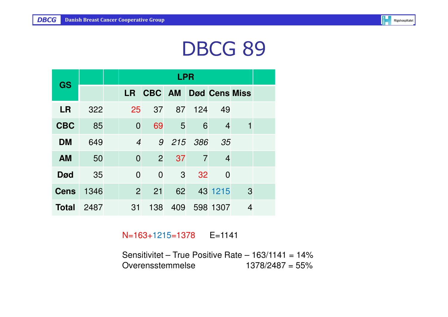

| GS           |      |                | <b>LPR</b>     |     |                |                      |                |  |  |  |  |
|--------------|------|----------------|----------------|-----|----------------|----------------------|----------------|--|--|--|--|
|              |      | <b>LR</b>      | CBC AM         |     |                | <b>Død Cens Miss</b> |                |  |  |  |  |
| <b>LR</b>    | 322  | 25             | 37             |     | 87 124         | 49                   |                |  |  |  |  |
| <b>CBC</b>   | 85   | $\overline{0}$ | 69             | 5   | 6              | $\overline{4}$       |                |  |  |  |  |
| <b>DM</b>    | 649  | $\overline{4}$ | 9              |     | 215 386        | - 35                 |                |  |  |  |  |
| <b>AM</b>    | 50   | $\overline{0}$ | $\overline{2}$ | 37  | $\overline{7}$ | $\overline{4}$       |                |  |  |  |  |
| <b>Død</b>   | 35   | $\overline{0}$ | $\overline{0}$ | 3   | 32             | $\overline{0}$       |                |  |  |  |  |
| <b>Cens</b>  | 1346 | $\overline{2}$ | 21             | 62  |                | 43 1215              | 3              |  |  |  |  |
| <b>Total</b> | 2487 | 31             | 138            | 409 |                | 598 1307             | $\overline{4}$ |  |  |  |  |

N=163+1215=1378 E=1141

Sensitivitet – True Positive Rate –  $163/1141 = 14\%$ Overensstemmelse 1378/2487 = 55%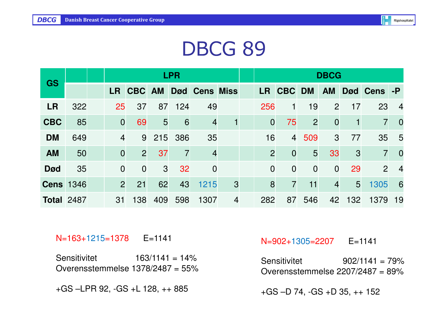| <b>GS</b>         |     |                | <b>LPR</b>     |                |     |                |                |                |                |                | <b>DBCG</b>    |                |                |                 |
|-------------------|-----|----------------|----------------|----------------|-----|----------------|----------------|----------------|----------------|----------------|----------------|----------------|----------------|-----------------|
|                   |     | LR .           | <b>CBC AM</b>  |                |     | Død Cens Miss  |                | LR             | <b>CBC</b>     | <b>DM</b>      | <b>AM</b>      |                | Død Cens -P    |                 |
| <b>LR</b>         | 322 | 25             | 37             | 87             | 124 | 49             |                | 256            |                | 19             | $\overline{2}$ | 17             | 23             | $\overline{4}$  |
| <b>CBC</b>        | 85  | $\overline{0}$ | 69             | 5 <sup>5</sup> | 6   | $\overline{4}$ | 1              | $\overline{0}$ | 75             | $\overline{2}$ | $\overline{0}$ | 1              | $\overline{7}$ | $\overline{0}$  |
| <b>DM</b>         | 649 | $\overline{4}$ | 9              | 215            | 386 | 35             |                | 16             | $\overline{4}$ | 509            | 3              | 77             | 35             | $5\overline{)}$ |
| <b>AM</b>         | 50  | $\overline{0}$ | $\overline{2}$ | 37             | 7   | $\overline{4}$ |                | $\overline{2}$ | $\overline{0}$ | 5              | 33             | 3              | $\overline{7}$ | $\overline{0}$  |
| <b>Død</b>        | 35  | $\overline{0}$ | $\overline{0}$ | 3              | 32  | $\overline{0}$ |                | $\overline{0}$ | $\overline{0}$ | $\overline{0}$ | $\overline{0}$ | 29             | 2              | $\overline{4}$  |
| <b>Cens 1346</b>  |     | $\overline{2}$ | 21             | 62             | 43  | 1215           | 3              | 8              | $\overline{7}$ | 11             | $\overline{4}$ | 5 <sup>5</sup> | 1305           | 6               |
| <b>Total 2487</b> |     | 31             | 138            | 409            | 598 | 1307           | $\overline{4}$ | 282            | 87             | 546            | 42             | 132            | 1379           | 19              |

#### N=163+1215=1378 E=1141

Sensitivitet 163/1141 = 14%Overensstemmelse 1378/2487 = 55%

+GS –LPR 92, -GS +L 128, ++ 885

#### N=902+1305=2207 E=1141

Sensitivitet 902/1141 = 79%Overensstemmelse 2207/2487 = 89%

+GS –D 74, -GS +D 35, ++ 152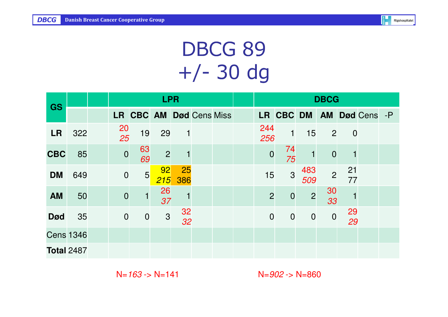

# DBCG 89 +/- 30 dg

|                   |     |                 | <b>LPR</b>              |                |                 | <b>DBCG</b> |                |                |                |                |                |              |  |
|-------------------|-----|-----------------|-------------------------|----------------|-----------------|-------------|----------------|----------------|----------------|----------------|----------------|--------------|--|
| <b>GS</b>         |     |                 | LR CBC AM Død Cens Miss |                |                 |             |                | LR CBC DM      |                | <b>AM</b>      |                | Død Cens - P |  |
| <b>LR</b>         | 322 | $\frac{20}{25}$ | 19                      | 29             | 1               |             | 244<br>256     | 1              | 15             | $\overline{2}$ | $\overline{0}$ |              |  |
| <b>CBC</b>        | 85  | $\overline{0}$  | 63<br>69                | $\overline{2}$ |                 |             | $\overline{0}$ | 74<br>75       | $\mathbf{1}$   | $\overline{0}$ |                |              |  |
| <b>DM</b>         | 649 | $\overline{0}$  | 5 <sup>1</sup>          | 92<br>215      | 25<br>386       |             | 15             | $\overline{3}$ | 483<br>509     | $\overline{2}$ | 21<br>77       |              |  |
| <b>AM</b>         | 50  | $\overline{0}$  | $\mathbf{1}$            | 26<br>37       |                 |             | $\overline{2}$ | $\mathbf 0$    | $\overline{c}$ | 30<br>33       |                |              |  |
| <b>Død</b>        | 35  | $\overline{0}$  | $\overline{0}$          | $\mathbf{3}$   | $\frac{32}{32}$ |             | $\overline{0}$ | $\mathbf 0$    | $\overline{0}$ | $\mathbf 0$    | 29<br>29       |              |  |
| <b>Cens 1346</b>  |     |                 |                         |                |                 |             |                |                |                |                |                |              |  |
| <b>Total 2487</b> |     |                 |                         |                |                 |             |                |                |                |                |                |              |  |

 $N=163$  ->  $N=141$ 

 $N=902 - D$  N=860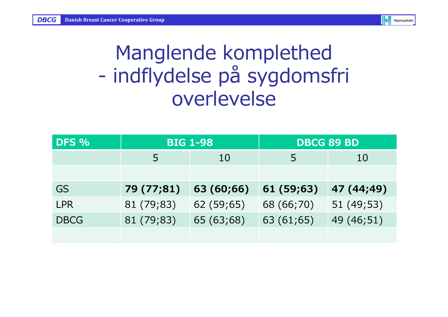# Manglende komplethed indflydelse på sygdomsfri overlevelse

| DFS %       |                | <b>BIG 1-98</b> | <b>DBCG 89 BD</b> |            |  |  |
|-------------|----------------|-----------------|-------------------|------------|--|--|
|             | $\overline{b}$ | 10              | 5                 | 10         |  |  |
|             |                |                 |                   |            |  |  |
| <b>GS</b>   | 79 (77;81)     | 63 (60;66)      | 61 (59;63)        | 47 (44;49) |  |  |
| <b>LPR</b>  | 81 (79;83)     | 62 (59;65)      | 68 (66;70)        | 51 (49;53) |  |  |
| <b>DBCG</b> | 81 (79;83)     | 65 (63;68)      | 63 (61;65)        | 49 (46;51) |  |  |
|             |                |                 |                   |            |  |  |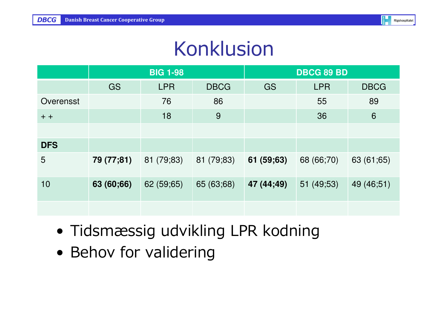### Konklusion

|                 |            | <b>BIG 1-98</b> |             | <b>DBCG 89 BD</b> |            |             |  |
|-----------------|------------|-----------------|-------------|-------------------|------------|-------------|--|
|                 | GS         | <b>LPR</b>      | <b>DBCG</b> | GS                | <b>LPR</b> | <b>DBCG</b> |  |
| Overensst       |            | 76              | 86          |                   | 55         | 89          |  |
| $+ +$           |            | 18              | 9           |                   | 36         | 6           |  |
|                 |            |                 |             |                   |            |             |  |
| <b>DFS</b>      |            |                 |             |                   |            |             |  |
| $5\overline{)}$ | 79 (77;81) | 81 (79;83)      | 81 (79;83)  | 61 (59;63)        | 68 (66;70) | 63 (61;65)  |  |
| 10              | 63 (60;66) | 62 (59;65)      | 65 (63;68)  | 47 (44;49)        | 51 (49;53) | 49 (46;51)  |  |
|                 |            |                 |             |                   |            |             |  |

- Tidsmæssig udvikling LPR kodning
- Behov for validering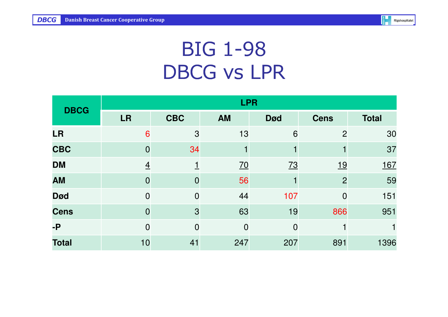

# BIG 1-98DBCG vs LPR

| <b>DBCG</b>  | <b>LPR</b>     |                |                |                |                |              |  |  |  |  |
|--------------|----------------|----------------|----------------|----------------|----------------|--------------|--|--|--|--|
|              | <b>LR</b>      | <b>CBC</b>     | <b>AM</b>      | <b>Død</b>     | <b>Cens</b>    | <b>Total</b> |  |  |  |  |
| <b>LR</b>    | 6              | 3              | 13             | 6              | $\overline{2}$ | 30           |  |  |  |  |
| <b>CBC</b>   | $\overline{0}$ | 34             |                |                |                | 37           |  |  |  |  |
| <b>DM</b>    | $\overline{4}$ |                | <u>70</u>      | <u>73</u>      | <u>19</u>      | <u>167</u>   |  |  |  |  |
| <b>AM</b>    | $\overline{0}$ | $\overline{0}$ | 56             |                | $\overline{2}$ | 59           |  |  |  |  |
| <b>Død</b>   | $\overline{0}$ | $\overline{0}$ | 44             | 107            | $\overline{0}$ | 151          |  |  |  |  |
| <b>Cens</b>  | $\overline{0}$ | 3              | 63             | 19             | 866            | 951          |  |  |  |  |
| $-P$         | $\overline{0}$ | $\overline{0}$ | $\overline{0}$ | $\overline{0}$ |                |              |  |  |  |  |
| <b>Total</b> | 10             | 41             | 247            | 207            | 891            | 1396         |  |  |  |  |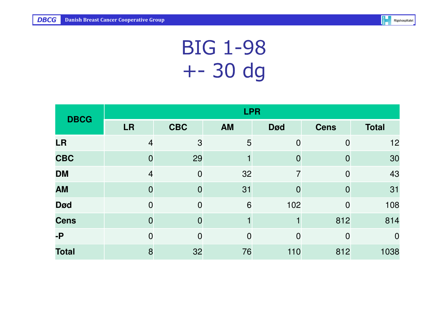

# BIG 1-98+- 30 dg

| <b>DBCG</b>  | <b>LPR</b>     |                |                |                |             |                |  |  |  |  |
|--------------|----------------|----------------|----------------|----------------|-------------|----------------|--|--|--|--|
|              | <b>LR</b>      | <b>CBC</b>     | <b>AM</b>      | <b>Død</b>     | <b>Cens</b> | <b>Total</b>   |  |  |  |  |
| <b>LR</b>    | $\overline{4}$ | 3              | 5              | $\overline{0}$ | 0           | 12             |  |  |  |  |
| <b>CBC</b>   | $\overline{0}$ | 29             |                | 0              |             | 30             |  |  |  |  |
| <b>DM</b>    | $\overline{4}$ | $\overline{0}$ | 32             | $\overline{7}$ | 0           | 43             |  |  |  |  |
| <b>AM</b>    | $\overline{0}$ | 0              | 31             | $\overline{0}$ |             | 31             |  |  |  |  |
| <b>Død</b>   | $\overline{0}$ | $\overline{0}$ | 6              | 102            | 0           | 108            |  |  |  |  |
| <b>Cens</b>  | $\overline{0}$ |                |                |                | 812         | 814            |  |  |  |  |
| $-P$         | $\overline{0}$ | $\Omega$       | $\overline{0}$ | $\overline{0}$ | $\Omega$    | $\overline{0}$ |  |  |  |  |
| <b>Total</b> | 8              | 32             | 76             | 110            | 812         | 1038           |  |  |  |  |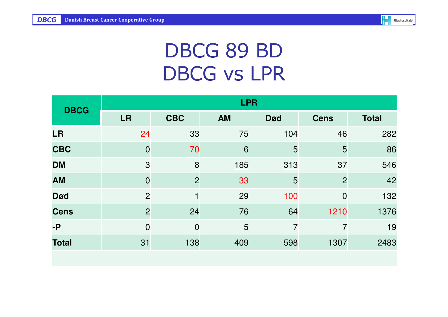

# DBCG 89 BDDBCG vs LPR

| <b>DBCG</b>  | <b>LPR</b>     |                 |            |                |                |              |  |  |  |  |
|--------------|----------------|-----------------|------------|----------------|----------------|--------------|--|--|--|--|
|              | <b>LR</b>      | <b>CBC</b>      | <b>AM</b>  | <b>Død</b>     | <b>Cens</b>    | <b>Total</b> |  |  |  |  |
| <b>LR</b>    | 24             | 33              | 75         | 104            | 46             | 282          |  |  |  |  |
| <b>CBC</b>   | $\overline{0}$ | 70              | 6          | 5              | 5              | 86           |  |  |  |  |
| <b>DM</b>    | $\overline{3}$ | $\underline{8}$ | <u>185</u> | <u>313</u>     | 37             | 546          |  |  |  |  |
| <b>AM</b>    | $\overline{0}$ | $\overline{2}$  | 33         | 5              | $\overline{2}$ | 42           |  |  |  |  |
| <b>Død</b>   | $\overline{2}$ |                 | 29         | 100            | $\overline{0}$ | 132          |  |  |  |  |
| <b>Cens</b>  | $\overline{2}$ | 24              | 76         | 64             | 1210           | 1376         |  |  |  |  |
| $-P$         | $\overline{0}$ | $\overline{0}$  | 5          | $\overline{7}$ | $\overline{7}$ | 19           |  |  |  |  |
| <b>Total</b> | 31             | 138             | 409        | 598            | 1307           | 2483         |  |  |  |  |
|              |                |                 |            |                |                |              |  |  |  |  |